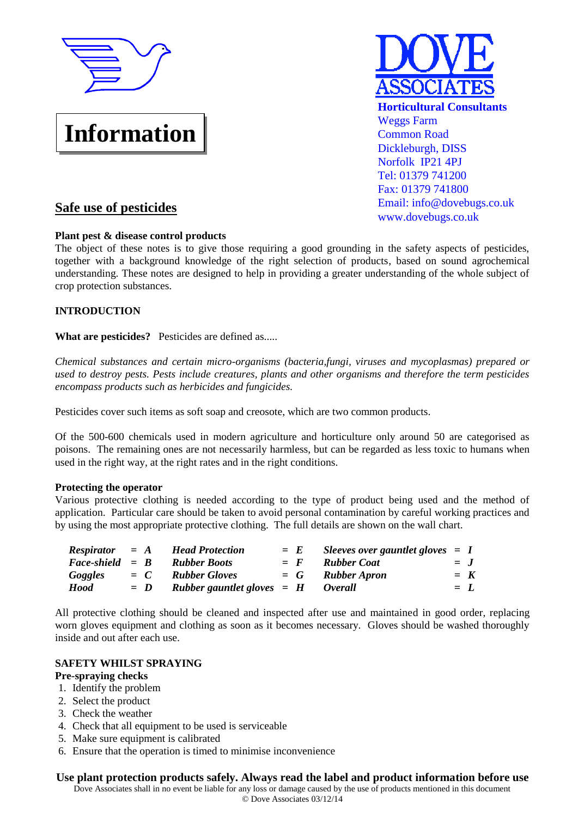

# **Information**



# **Safe use of pesticides**

# **Plant pest & disease control products**

The object of these notes is to give those requiring a good grounding in the safety aspects of pesticides, together with a background knowledge of the right selection of products, based on sound agrochemical understanding. These notes are designed to help in providing a greater understanding of the whole subject of crop protection substances.

# **INTRODUCTION**

**What are pesticides?** Pesticides are defined as.....

*Chemical substances and certain micro-organisms (bacteria,fungi, viruses and mycoplasmas) prepared or used to destroy pests. Pests include creatures, plants and other organisms and therefore the term pesticides encompass products such as herbicides and fungicides.*

Pesticides cover such items as soft soap and creosote, which are two common products.

Of the 500-600 chemicals used in modern agriculture and horticulture only around 50 are categorised as poisons. The remaining ones are not necessarily harmless, but can be regarded as less toxic to humans when used in the right way, at the right rates and in the right conditions.

# **Protecting the operator**

Various protective clothing is needed according to the type of product being used and the method of application. Particular care should be taken to avoid personal contamination by careful working practices and by using the most appropriate protective clothing. The full details are shown on the wall chart.

|                          |       | $Respirator = A$ Head Protection                       | $=$ E        | Sleeves over gauntlet gloves $= I$ |       |  |
|--------------------------|-------|--------------------------------------------------------|--------------|------------------------------------|-------|--|
| $Face\text{-}shield = B$ |       | <b>Rubber Boots</b>                                    | $=$ $\bm{F}$ | Rubber Coat                        | $=$ J |  |
| Goggles                  |       | $= C$ Rubber Gloves                                    |              | $= G$ Rubber Apron                 | $=$ K |  |
| <b>Hood</b>              | $= D$ | <b>Rubber gauntlet gloves <math>=</math> H Overall</b> |              |                                    | $= L$ |  |
|                          |       |                                                        |              |                                    |       |  |

All protective clothing should be cleaned and inspected after use and maintained in good order, replacing worn gloves equipment and clothing as soon as it becomes necessary. Gloves should be washed thoroughly inside and out after each use.

# **SAFETY WHILST SPRAYING**

# **Pre-spraying checks**

- 1. Identify the problem
- 2. Select the product
- 3. Check the weather
- 4. Check that all equipment to be used is serviceable
- 5. Make sure equipment is calibrated
- 6. Ensure that the operation is timed to minimise inconvenience

# **Use plant protection products safely. Always read the label and product information before use**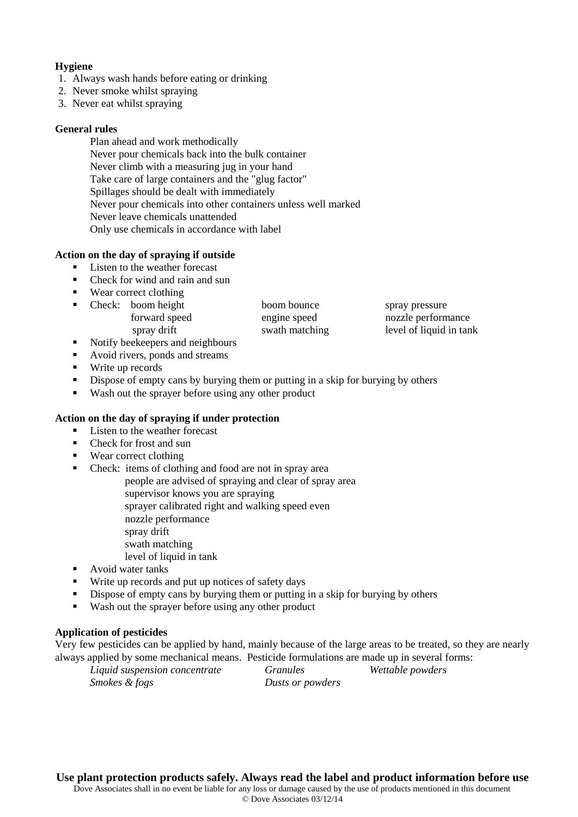# **Hygiene**

- 1. Always wash hands before eating or drinking
- 2. Never smoke whilst spraying
- 3. Never eat whilst spraying

#### **General rules**

Plan ahead and work methodically Never pour chemicals back into the bulk container Never climb with a measuring jug in your hand Take care of large containers and the "glug factor" Spillages should be dealt with immediately Never pour chemicals into other containers unless well marked Never leave chemicals unattended Only use chemicals in accordance with label

## **Action on the day of spraying if outside**

- Listen to the weather forecast
- Check for wind and rain and sun
- Wear correct clothing
- Check: boom height boom bounce spray pressure forward speed engine speed nozzle performance spray drift swath matching level of liquid in tank
- Notify beekeepers and neighbours
- Avoid rivers, ponds and streams
- **Write up records**
- Dispose of empty cans by burying them or putting in a skip for burying by others
- Wash out the sprayer before using any other product

#### **Action on the day of spraying if under protection**

- Listen to the weather forecast
- Check for frost and sun
- Wear correct clothing
- Check: items of clothing and food are not in spray area
	- people are advised of spraying and clear of spray area
		- supervisor knows you are spraying
		- sprayer calibrated right and walking speed even
		- nozzle performance
		- spray drift
		- swath matching
			- level of liquid in tank
- **Avoid water tanks**
- Write up records and put up notices of safety days
- Dispose of empty cans by burying them or putting in a skip for burying by others
- Wash out the sprayer before using any other product

# **Application of pesticides**

Very few pesticides can be applied by hand, mainly because of the large areas to be treated, so they are nearly always applied by some mechanical means. Pesticide formulations are made up in several forms:

*Liquid suspension concentrate Granules Wettable powders Smokes & fogs Dusts or powders* 

**Use plant protection products safely. Always read the label and product information before use**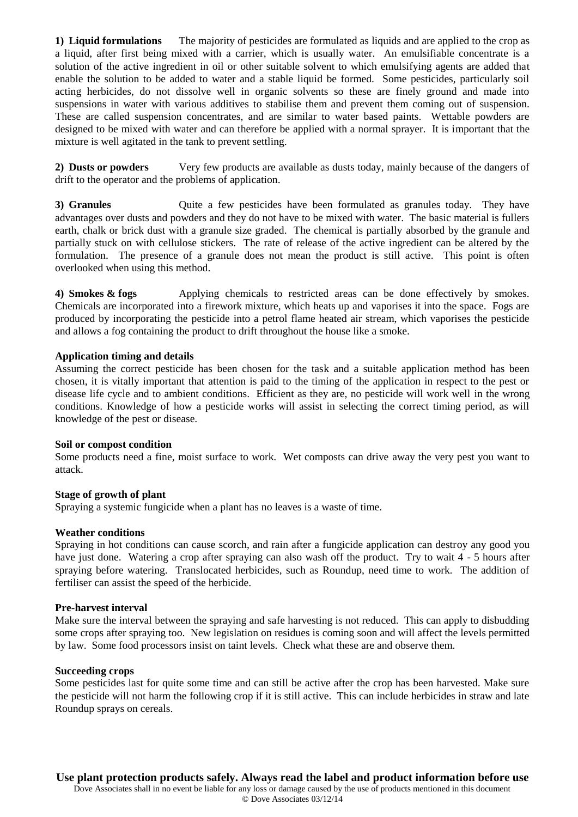**1) Liquid formulations** The majority of pesticides are formulated as liquids and are applied to the crop as a liquid, after first being mixed with a carrier, which is usually water. An emulsifiable concentrate is a solution of the active ingredient in oil or other suitable solvent to which emulsifying agents are added that enable the solution to be added to water and a stable liquid be formed. Some pesticides, particularly soil acting herbicides, do not dissolve well in organic solvents so these are finely ground and made into suspensions in water with various additives to stabilise them and prevent them coming out of suspension. These are called suspension concentrates, and are similar to water based paints. Wettable powders are designed to be mixed with water and can therefore be applied with a normal sprayer. It is important that the mixture is well agitated in the tank to prevent settling.

**2) Dusts or powders** Very few products are available as dusts today, mainly because of the dangers of drift to the operator and the problems of application.

**3) Granules** Quite a few pesticides have been formulated as granules today. They have advantages over dusts and powders and they do not have to be mixed with water. The basic material is fullers earth, chalk or brick dust with a granule size graded. The chemical is partially absorbed by the granule and partially stuck on with cellulose stickers. The rate of release of the active ingredient can be altered by the formulation. The presence of a granule does not mean the product is still active. This point is often overlooked when using this method.

**4) Smokes & fogs** Applying chemicals to restricted areas can be done effectively by smokes. Chemicals are incorporated into a firework mixture, which heats up and vaporises it into the space. Fogs are produced by incorporating the pesticide into a petrol flame heated air stream, which vaporises the pesticide and allows a fog containing the product to drift throughout the house like a smoke.

#### **Application timing and details**

Assuming the correct pesticide has been chosen for the task and a suitable application method has been chosen, it is vitally important that attention is paid to the timing of the application in respect to the pest or disease life cycle and to ambient conditions. Efficient as they are, no pesticide will work well in the wrong conditions. Knowledge of how a pesticide works will assist in selecting the correct timing period, as will knowledge of the pest or disease.

#### **Soil or compost condition**

Some products need a fine, moist surface to work. Wet composts can drive away the very pest you want to attack.

#### **Stage of growth of plant**

Spraying a systemic fungicide when a plant has no leaves is a waste of time.

#### **Weather conditions**

Spraying in hot conditions can cause scorch, and rain after a fungicide application can destroy any good you have just done. Watering a crop after spraying can also wash off the product. Try to wait 4 - 5 hours after spraying before watering. Translocated herbicides, such as Roundup, need time to work. The addition of fertiliser can assist the speed of the herbicide.

#### **Pre-harvest interval**

Make sure the interval between the spraying and safe harvesting is not reduced. This can apply to disbudding some crops after spraying too. New legislation on residues is coming soon and will affect the levels permitted by law. Some food processors insist on taint levels. Check what these are and observe them.

#### **Succeeding crops**

Some pesticides last for quite some time and can still be active after the crop has been harvested. Make sure the pesticide will not harm the following crop if it is still active. This can include herbicides in straw and late Roundup sprays on cereals.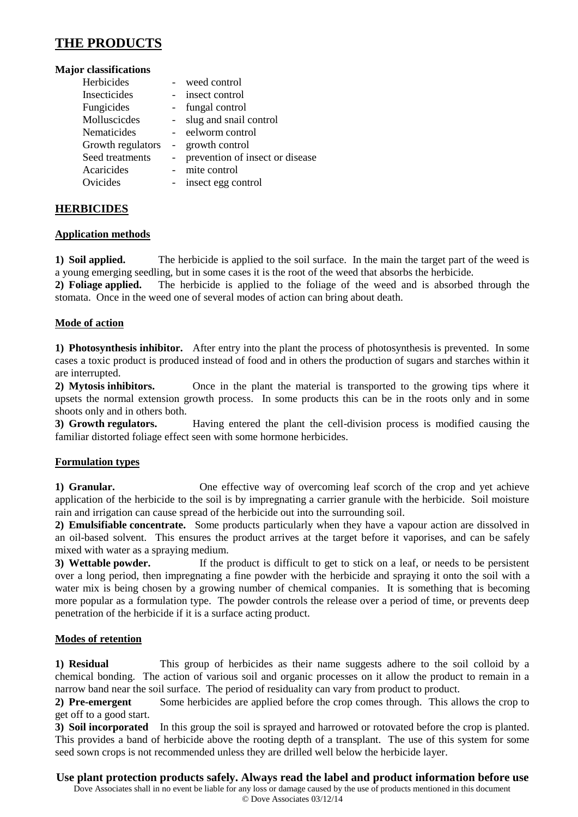# **THE PRODUCTS**

#### **Major classifications**

| Herbicides        | weed control                    |
|-------------------|---------------------------------|
| Insecticides      | insect control                  |
| Fungicides        | fungal control                  |
| Molluscicdes      | slug and snail control          |
| Nematicides       | eelworm control                 |
| Growth regulators | growth control                  |
| Seed treatments   | prevention of insect or disease |
| Acaricides        | mite control                    |
| Ovicides          | insect egg control              |
|                   |                                 |

# **HERBICIDES**

## **Application methods**

**1) Soil applied.** The herbicide is applied to the soil surface. In the main the target part of the weed is a young emerging seedling, but in some cases it is the root of the weed that absorbs the herbicide.

**2) Foliage applied.** The herbicide is applied to the foliage of the weed and is absorbed through the stomata. Once in the weed one of several modes of action can bring about death.

# **Mode of action**

**1) Photosynthesis inhibitor.** After entry into the plant the process of photosynthesis is prevented. In some cases a toxic product is produced instead of food and in others the production of sugars and starches within it are interrupted.

**2) Mytosis inhibitors.** Once in the plant the material is transported to the growing tips where it upsets the normal extension growth process. In some products this can be in the roots only and in some shoots only and in others both.

**3) Growth regulators.** Having entered the plant the cell-division process is modified causing the familiar distorted foliage effect seen with some hormone herbicides.

# **Formulation types**

**1) Granular.** One effective way of overcoming leaf scorch of the crop and yet achieve application of the herbicide to the soil is by impregnating a carrier granule with the herbicide. Soil moisture rain and irrigation can cause spread of the herbicide out into the surrounding soil.

**2) Emulsifiable concentrate.** Some products particularly when they have a vapour action are dissolved in an oil-based solvent. This ensures the product arrives at the target before it vaporises, and can be safely mixed with water as a spraying medium.

**3) Wettable powder.** If the product is difficult to get to stick on a leaf, or needs to be persistent over a long period, then impregnating a fine powder with the herbicide and spraying it onto the soil with a water mix is being chosen by a growing number of chemical companies. It is something that is becoming more popular as a formulation type. The powder controls the release over a period of time, or prevents deep penetration of the herbicide if it is a surface acting product.

# **Modes of retention**

**1) Residual** This group of herbicides as their name suggests adhere to the soil colloid by a chemical bonding. The action of various soil and organic processes on it allow the product to remain in a narrow band near the soil surface. The period of residuality can vary from product to product.

**2) Pre-emergent** Some herbicides are applied before the crop comes through. This allows the crop to get off to a good start.

**3) Soil incorporated** In this group the soil is sprayed and harrowed or rotovated before the crop is planted. This provides a band of herbicide above the rooting depth of a transplant. The use of this system for some seed sown crops is not recommended unless they are drilled well below the herbicide layer.

# **Use plant protection products safely. Always read the label and product information before use**